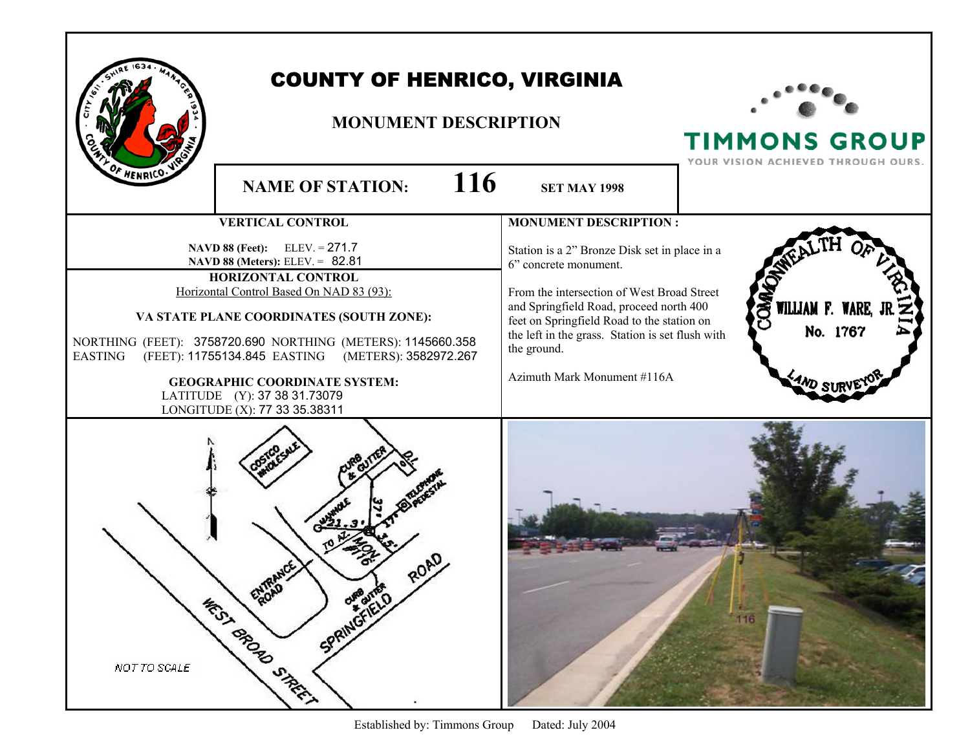|                | <b>COUNTY OF HENRICO, VIRGINIA</b><br><b>MONUMENT DESCRIPTION</b>                                                                                                                                                                                                                                                                                                                                                               |                                                                                                                                                                                                                                                                                                                 | <b>TIMMONS GROUP</b><br>YOUR VISION ACHIEVED THROUGH OURS. |
|----------------|---------------------------------------------------------------------------------------------------------------------------------------------------------------------------------------------------------------------------------------------------------------------------------------------------------------------------------------------------------------------------------------------------------------------------------|-----------------------------------------------------------------------------------------------------------------------------------------------------------------------------------------------------------------------------------------------------------------------------------------------------------------|------------------------------------------------------------|
| HENRICO.       | 116<br><b>NAME OF STATION:</b>                                                                                                                                                                                                                                                                                                                                                                                                  | <b>SET MAY 1998</b>                                                                                                                                                                                                                                                                                             |                                                            |
|                | <b>VERTICAL CONTROL</b>                                                                                                                                                                                                                                                                                                                                                                                                         | <b>MONUMENT DESCRIPTION:</b>                                                                                                                                                                                                                                                                                    |                                                            |
| <b>EASTING</b> | <b>NAVD 88 (Feet):</b> ELEV. = $271.7$<br>NAVD 88 (Meters): ELEV. = 82.81<br><b>HORIZONTAL CONTROL</b><br>Horizontal Control Based On NAD 83 (93):<br>VA STATE PLANE COORDINATES (SOUTH ZONE):<br>NORTHING (FEET): 3758720.690 NORTHING (METERS): 1145660.358<br>(METERS): 3582972.267<br>(FEET): 11755134.845 EASTING<br><b>GEOGRAPHIC COORDINATE SYSTEM:</b><br>LATITUDE (Y): 37 38 31.73079<br>LONGITUDE (X): 77 33 35.38311 | Station is a 2" Bronze Disk set in place in a<br>6" concrete monument.<br>From the intersection of West Broad Street<br>and Springfield Road, proceed north 400<br>feet on Springfield Road to the station on<br>the left in the grass. Station is set flush with<br>the ground.<br>Azimuth Mark Monument #116A | OM,<br>WILLIAM F. WARE,<br>No. 1767                        |
| NOT TO SCALE   | ENDAD<br>SPRINGFIELD<br><b>WEST BROAD STREET</b>                                                                                                                                                                                                                                                                                                                                                                                |                                                                                                                                                                                                                                                                                                                 | 116                                                        |